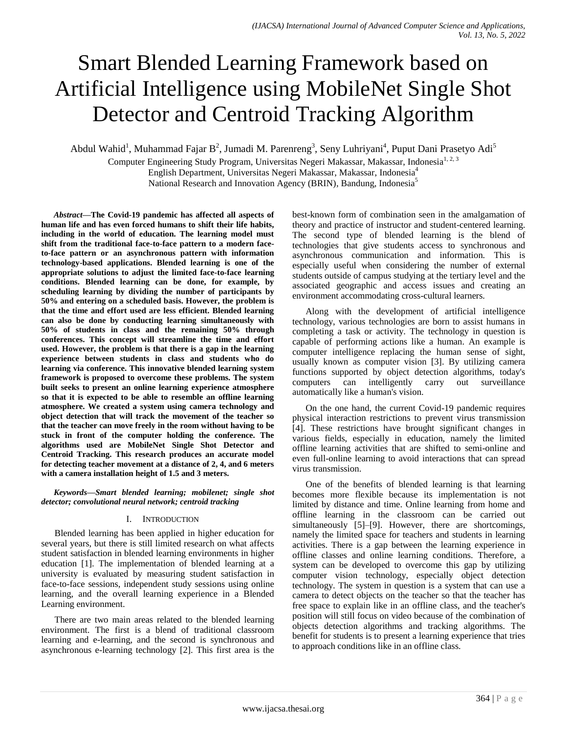# Smart Blended Learning Framework based on Artificial Intelligence using MobileNet Single Shot Detector and Centroid Tracking Algorithm

Abdul Wahid<sup>1</sup>, Muhammad Fajar B<sup>2</sup>, Jumadi M. Parenreng<sup>3</sup>, Seny Luhriyani<sup>4</sup>, Puput Dani Prasetyo Adi<sup>5</sup>

Computer Engineering Study Program, Universitas Negeri Makassar, Makassar, Indonesia<sup>1, 2, 3</sup> English Department, Universitas Negeri Makassar, Makassar, Indonesia<sup>4</sup>

National Research and Innovation Agency (BRIN), Bandung, Indonesia<sup>5</sup>

*Abstract***—The Covid-19 pandemic has affected all aspects of human life and has even forced humans to shift their life habits, including in the world of education. The learning model must shift from the traditional face-to-face pattern to a modern faceto-face pattern or an asynchronous pattern with information technology-based applications. Blended learning is one of the appropriate solutions to adjust the limited face-to-face learning conditions. Blended learning can be done, for example, by scheduling learning by dividing the number of participants by 50% and entering on a scheduled basis. However, the problem is that the time and effort used are less efficient. Blended learning can also be done by conducting learning simultaneously with 50% of students in class and the remaining 50% through conferences. This concept will streamline the time and effort used. However, the problem is that there is a gap in the learning experience between students in class and students who do learning via conference. This innovative blended learning system framework is proposed to overcome these problems. The system built seeks to present an online learning experience atmosphere so that it is expected to be able to resemble an offline learning atmosphere. We created a system using camera technology and object detection that will track the movement of the teacher so that the teacher can move freely in the room without having to be stuck in front of the computer holding the conference. The algorithms used are MobileNet Single Shot Detector and Centroid Tracking. This research produces an accurate model for detecting teacher movement at a distance of 2, 4, and 6 meters with a camera installation height of 1.5 and 3 meters.**

## *Keywords—Smart blended learning; mobilenet; single shot detector; convolutional neural network; centroid tracking*

# I. INTRODUCTION

Blended learning has been applied in higher education for several years, but there is still limited research on what affects student satisfaction in blended learning environments in higher education [1]. The implementation of blended learning at a university is evaluated by measuring student satisfaction in face-to-face sessions, independent study sessions using online learning, and the overall learning experience in a Blended Learning environment.

There are two main areas related to the blended learning environment. The first is a blend of traditional classroom learning and e-learning, and the second is synchronous and asynchronous e-learning technology [2]. This first area is the best-known form of combination seen in the amalgamation of theory and practice of instructor and student-centered learning. The second type of blended learning is the blend of technologies that give students access to synchronous and asynchronous communication and information. This is especially useful when considering the number of external students outside of campus studying at the tertiary level and the associated geographic and access issues and creating an environment accommodating cross-cultural learners.

Along with the development of artificial intelligence technology, various technologies are born to assist humans in completing a task or activity. The technology in question is capable of performing actions like a human. An example is computer intelligence replacing the human sense of sight, usually known as computer vision [3]. By utilizing camera functions supported by object detection algorithms, today's computers can intelligently carry out surveillance automatically like a human's vision.

On the one hand, the current Covid-19 pandemic requires physical interaction restrictions to prevent virus transmission [4]. These restrictions have brought significant changes in various fields, especially in education, namely the limited offline learning activities that are shifted to semi-online and even full-online learning to avoid interactions that can spread virus transmission.

One of the benefits of blended learning is that learning becomes more flexible because its implementation is not limited by distance and time. Online learning from home and offline learning in the classroom can be carried out simultaneously [5]–[9]. However, there are shortcomings, namely the limited space for teachers and students in learning activities. There is a gap between the learning experience in offline classes and online learning conditions. Therefore, a system can be developed to overcome this gap by utilizing computer vision technology, especially object detection technology. The system in question is a system that can use a camera to detect objects on the teacher so that the teacher has free space to explain like in an offline class, and the teacher's position will still focus on video because of the combination of objects detection algorithms and tracking algorithms. The benefit for students is to present a learning experience that tries to approach conditions like in an offline class.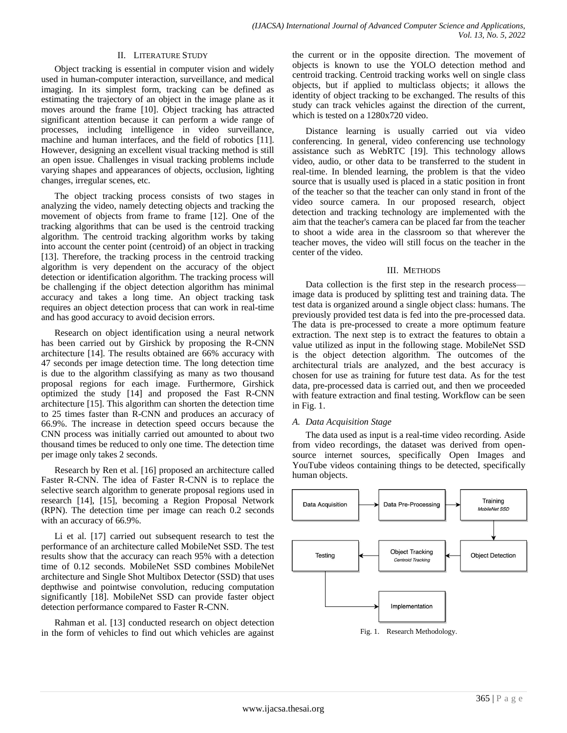## II. LITERATURE STUDY

Object tracking is essential in computer vision and widely used in human-computer interaction, surveillance, and medical imaging. In its simplest form, tracking can be defined as estimating the trajectory of an object in the image plane as it moves around the frame [10]. Object tracking has attracted significant attention because it can perform a wide range of processes, including intelligence in video surveillance, machine and human interfaces, and the field of robotics [11]. However, designing an excellent visual tracking method is still an open issue. Challenges in visual tracking problems include varying shapes and appearances of objects, occlusion, lighting changes, irregular scenes, etc.

The object tracking process consists of two stages in analyzing the video, namely detecting objects and tracking the movement of objects from frame to frame [12]. One of the tracking algorithms that can be used is the centroid tracking algorithm. The centroid tracking algorithm works by taking into account the center point (centroid) of an object in tracking [13]. Therefore, the tracking process in the centroid tracking algorithm is very dependent on the accuracy of the object detection or identification algorithm. The tracking process will be challenging if the object detection algorithm has minimal accuracy and takes a long time. An object tracking task requires an object detection process that can work in real-time and has good accuracy to avoid decision errors.

Research on object identification using a neural network has been carried out by Girshick by proposing the R-CNN architecture [14]. The results obtained are 66% accuracy with 47 seconds per image detection time. The long detection time is due to the algorithm classifying as many as two thousand proposal regions for each image. Furthermore, Girshick optimized the study [14] and proposed the Fast R-CNN architecture [15]. This algorithm can shorten the detection time to 25 times faster than R-CNN and produces an accuracy of 66.9%. The increase in detection speed occurs because the CNN process was initially carried out amounted to about two thousand times be reduced to only one time. The detection time per image only takes 2 seconds.

Research by Ren et al. [16] proposed an architecture called Faster R-CNN. The idea of Faster R-CNN is to replace the selective search algorithm to generate proposal regions used in research [14], [15], becoming a Region Proposal Network (RPN). The detection time per image can reach 0.2 seconds with an accuracy of 66.9%.

Li et al. [17] carried out subsequent research to test the performance of an architecture called MobileNet SSD. The test results show that the accuracy can reach 95% with a detection time of 0.12 seconds. MobileNet SSD combines MobileNet architecture and Single Shot Multibox Detector (SSD) that uses depthwise and pointwise convolution, reducing computation significantly [18]. MobileNet SSD can provide faster object detection performance compared to Faster R-CNN.

Rahman et al. [13] conducted research on object detection in the form of vehicles to find out which vehicles are against

the current or in the opposite direction. The movement of objects is known to use the YOLO detection method and centroid tracking. Centroid tracking works well on single class objects, but if applied to multiclass objects; it allows the identity of object tracking to be exchanged. The results of this study can track vehicles against the direction of the current, which is tested on a 1280x720 video.

Distance learning is usually carried out via video conferencing. In general, video conferencing use technology assistance such as WebRTC [19]. This technology allows video, audio, or other data to be transferred to the student in real-time. In blended learning, the problem is that the video source that is usually used is placed in a static position in front of the teacher so that the teacher can only stand in front of the video source camera. In our proposed research, object detection and tracking technology are implemented with the aim that the teacher's camera can be placed far from the teacher to shoot a wide area in the classroom so that wherever the teacher moves, the video will still focus on the teacher in the center of the video.

## III. METHODS

Data collection is the first step in the research process image data is produced by splitting test and training data. The test data is organized around a single object class: humans. The previously provided test data is fed into the pre-processed data. The data is pre-processed to create a more optimum feature extraction. The next step is to extract the features to obtain a value utilized as input in the following stage. MobileNet SSD is the object detection algorithm. The outcomes of the architectural trials are analyzed, and the best accuracy is chosen for use as training for future test data. As for the test data, pre-processed data is carried out, and then we proceeded with feature extraction and final testing. Workflow can be seen in Fig. 1.

## *A. Data Acquisition Stage*

The data used as input is a real-time video recording. Aside from video recordings, the dataset was derived from opensource internet sources, specifically Open Images and YouTube videos containing things to be detected, specifically human objects.

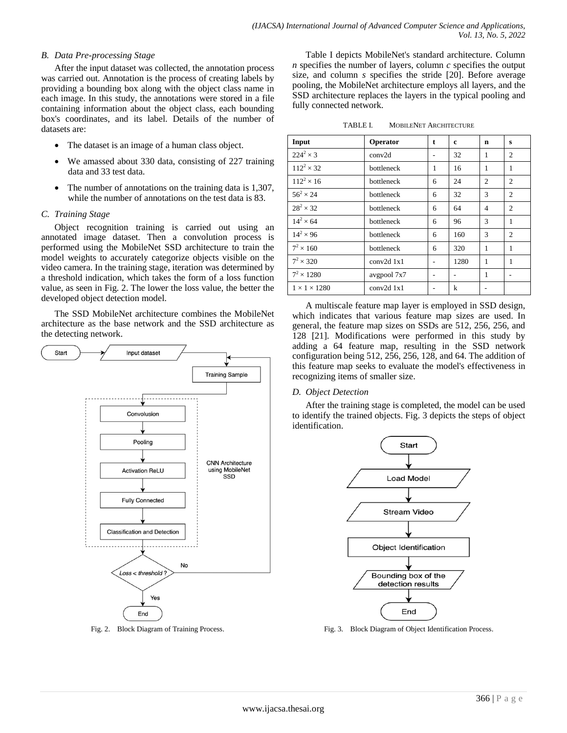## *B. Data Pre-processing Stage*

After the input dataset was collected, the annotation process was carried out. Annotation is the process of creating labels by providing a bounding box along with the object class name in each image. In this study, the annotations were stored in a file containing information about the object class, each bounding box's coordinates, and its label. Details of the number of datasets are:

- The dataset is an image of a human class object.
- We amassed about 330 data, consisting of 227 training data and 33 test data.
- The number of annotations on the training data is 1,307, while the number of annotations on the test data is 83.

## *C. Training Stage*

Object recognition training is carried out using an annotated image dataset. Then a convolution process is performed using the MobileNet SSD architecture to train the model weights to accurately categorize objects visible on the video camera. In the training stage, iteration was determined by a threshold indication, which takes the form of a loss function value, as seen in Fig. 2. The lower the loss value, the better the developed object detection model.

The SSD MobileNet architecture combines the MobileNet architecture as the base network and the SSD architecture as the detecting network.



Fig. 2. Block Diagram of Training Process.

Table I depicts MobileNet's standard architecture. Column *n* specifies the number of layers, column *c* specifies the output size, and column *s* specifies the stride [20]. Before average pooling, the MobileNet architecture employs all layers, and the SSD architecture replaces the layers in the typical pooling and fully connected network.

| TABLE I. |  | <b>MOBILENET ARCHITECTURE</b> |
|----------|--|-------------------------------|
|----------|--|-------------------------------|

| Input                    | Operator    | t | c    | n              | s |
|--------------------------|-------------|---|------|----------------|---|
| $224^2 \times 3$         | conv2d      |   | 32   | 1              | 2 |
| $112^2 \times 32$        | bottleneck  | 1 | 16   | 1              | 1 |
| $112^2 \times 16$        | bottleneck  | 6 | 24   | $\overline{c}$ | 2 |
| $56^{2} \times 24$       | bottleneck  | 6 | 32   | 3              | 2 |
| $28^2 \times 32$         | bottleneck  | 6 | 64   | 4              | 2 |
| $14^2 \times 64$         | bottleneck  | 6 | 96   | 3              | 1 |
| $14^2 \times 96$         | bottleneck  | 6 | 160  | 3              | 2 |
| $7^2 \times 160$         | bottleneck  | 6 | 320  | 1              | 1 |
| $7^2 \times 320$         | conv2d 1x1  |   | 1280 | 1              | 1 |
| $7^2 \times 1280$        | avgpool 7x7 |   |      | 1              |   |
| $1 \times 1 \times 1280$ | conv2d 1x1  |   | k    |                |   |

A multiscale feature map layer is employed in SSD design, which indicates that various feature map sizes are used. In general, the feature map sizes on SSDs are 512, 256, 256, and 128 [21]. Modifications were performed in this study by adding a 64 feature map, resulting in the SSD network configuration being 512, 256, 256, 128, and 64. The addition of this feature map seeks to evaluate the model's effectiveness in recognizing items of smaller size.

#### *D. Object Detection*

After the training stage is completed, the model can be used to identify the trained objects. Fig. 3 depicts the steps of object identification.



Fig. 3. Block Diagram of Object Identification Process.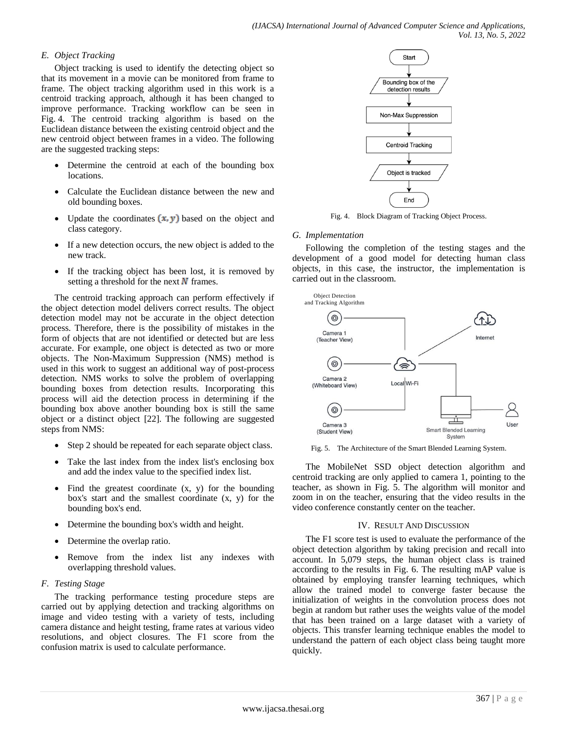# *E. Object Tracking*

Object tracking is used to identify the detecting object so that its movement in a movie can be monitored from frame to frame. The object tracking algorithm used in this work is a centroid tracking approach, although it has been changed to improve performance. Tracking workflow can be seen in Fig. 4. The centroid tracking algorithm is based on the Euclidean distance between the existing centroid object and the new centroid object between frames in a video. The following are the suggested tracking steps:

- Determine the centroid at each of the bounding box locations.
- Calculate the Euclidean distance between the new and old bounding boxes.
- Update the coordinates  $(x, y)$  based on the object and class category.
- If a new detection occurs, the new object is added to the new track.
- If the tracking object has been lost, it is removed by setting a threshold for the next  $\bf{N}$  frames.

The centroid tracking approach can perform effectively if the object detection model delivers correct results. The object detection model may not be accurate in the object detection process. Therefore, there is the possibility of mistakes in the form of objects that are not identified or detected but are less accurate. For example, one object is detected as two or more objects. The Non-Maximum Suppression (NMS) method is used in this work to suggest an additional way of post-process detection. NMS works to solve the problem of overlapping bounding boxes from detection results. Incorporating this process will aid the detection process in determining if the bounding box above another bounding box is still the same object or a distinct object [22]. The following are suggested steps from NMS:

- Step 2 should be repeated for each separate object class.
- Take the last index from the index list's enclosing box and add the index value to the specified index list.
- Find the greatest coordinate  $(x, y)$  for the bounding box's start and the smallest coordinate (x, y) for the bounding box's end.
- Determine the bounding box's width and height.
- Determine the overlap ratio.
- Remove from the index list any indexes with overlapping threshold values.
- *F. Testing Stage*

The tracking performance testing procedure steps are carried out by applying detection and tracking algorithms on image and video testing with a variety of tests, including camera distance and height testing, frame rates at various video resolutions, and object closures. The F1 score from the confusion matrix is used to calculate performance.



Fig. 4. Block Diagram of Tracking Object Process.

## *G. Implementation*

Following the completion of the testing stages and the development of a good model for detecting human class objects, in this case, the instructor, the implementation is carried out in the classroom.



Fig. 5. The Architecture of the Smart Blended Learning System.

The MobileNet SSD object detection algorithm and centroid tracking are only applied to camera 1, pointing to the teacher, as shown in Fig. 5. The algorithm will monitor and zoom in on the teacher, ensuring that the video results in the video conference constantly center on the teacher.

## IV. RESULT AND DISCUSSION

The F1 score test is used to evaluate the performance of the object detection algorithm by taking precision and recall into account. In 5,079 steps, the human object class is trained according to the results in Fig. 6. The resulting mAP value is obtained by employing transfer learning techniques, which allow the trained model to converge faster because the initialization of weights in the convolution process does not begin at random but rather uses the weights value of the model that has been trained on a large dataset with a variety of objects. This transfer learning technique enables the model to understand the pattern of each object class being taught more quickly.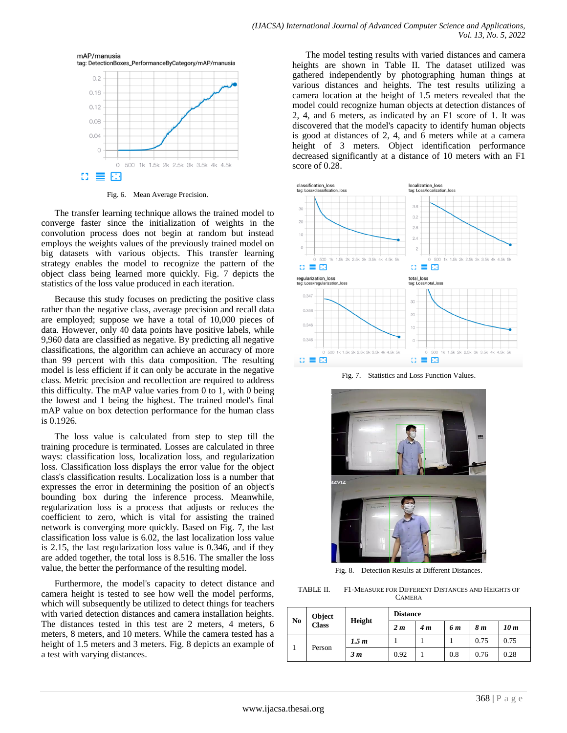

Fig. 6. Mean Average Precision.

The transfer learning technique allows the trained model to converge faster since the initialization of weights in the convolution process does not begin at random but instead employs the weights values of the previously trained model on big datasets with various objects. This transfer learning strategy enables the model to recognize the pattern of the object class being learned more quickly. Fig. 7 depicts the statistics of the loss value produced in each iteration.

Because this study focuses on predicting the positive class rather than the negative class, average precision and recall data are employed; suppose we have a total of 10,000 pieces of data. However, only 40 data points have positive labels, while 9,960 data are classified as negative. By predicting all negative classifications, the algorithm can achieve an accuracy of more than 99 percent with this data composition. The resulting model is less efficient if it can only be accurate in the negative class. Metric precision and recollection are required to address this difficulty. The mAP value varies from 0 to 1, with 0 being the lowest and 1 being the highest. The trained model's final mAP value on box detection performance for the human class is 0.1926.

The loss value is calculated from step to step till the training procedure is terminated. Losses are calculated in three ways: classification loss, localization loss, and regularization loss. Classification loss displays the error value for the object class's classification results. Localization loss is a number that expresses the error in determining the position of an object's bounding box during the inference process. Meanwhile, regularization loss is a process that adjusts or reduces the coefficient to zero, which is vital for assisting the trained network is converging more quickly. Based on Fig. 7, the last classification loss value is 6.02, the last localization loss value is 2.15, the last regularization loss value is 0.346, and if they are added together, the total loss is 8.516. The smaller the loss value, the better the performance of the resulting model.

Furthermore, the model's capacity to detect distance and camera height is tested to see how well the model performs, which will subsequently be utilized to detect things for teachers with varied detection distances and camera installation heights. The distances tested in this test are 2 meters, 4 meters, 6 meters, 8 meters, and 10 meters. While the camera tested has a height of 1.5 meters and 3 meters. Fig. 8 depicts an example of a test with varying distances.

The model testing results with varied distances and camera heights are shown in Table II. The dataset utilized was gathered independently by photographing human things at various distances and heights. The test results utilizing a camera location at the height of 1.5 meters revealed that the model could recognize human objects at detection distances of 2, 4, and 6 meters, as indicated by an F1 score of 1. It was discovered that the model's capacity to identify human objects is good at distances of 2, 4, and 6 meters while at a camera height of 3 meters. Object identification performance decreased significantly at a distance of 10 meters with an F1 score of 0.28.



Fig. 7. Statistics and Loss Function Values.



Fig. 8. Detection Results at Different Distances.

TABLE II. F1-MEASURE FOR DIFFERENT DISTANCES AND HEIGHTS OF CAMERA

| N <sub>o</sub> | Object<br><b>Class</b> | Height         | <b>Distance</b> |     |      |      |      |
|----------------|------------------------|----------------|-----------------|-----|------|------|------|
|                |                        |                | 2 <sub>m</sub>  | 4 m | 6 m  | 8 m  | 10 m |
| Person         | 1.5 m                  |                |                 |     | 0.75 | 0.75 |      |
|                |                        | 3 <sub>m</sub> | 0.92            |     | 0.8  | 0.76 | 0.28 |